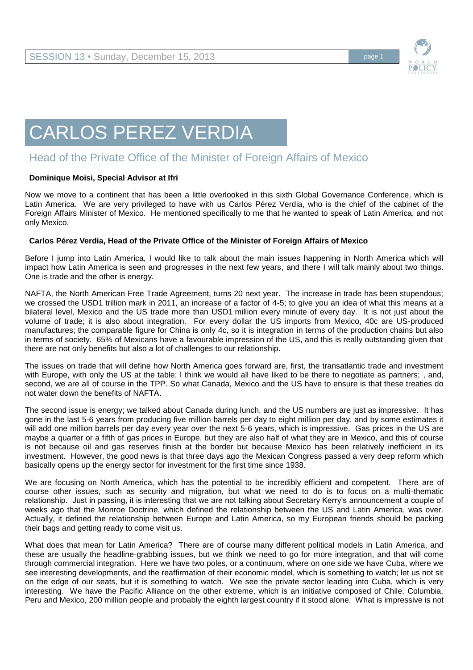

## CARLOS PEREZ VERDIA

## Head of the Private Office of the Minister of Foreign Affairs of Mexico

## **Dominique Moisi, Special Advisor at Ifri**

Now we move to a continent that has been a little overlooked in this sixth Global Governance Conference, which is Latin America. We are very privileged to have with us Carlos Pérez Verdia, who is the chief of the cabinet of the Foreign Affairs Minister of Mexico. He mentioned specifically to me that he wanted to speak of Latin America, and not only Mexico.

## **Carlos Pérez Verdia, Head of the Private Office of the Minister of Foreign Affairs of Mexico**

Before I jump into Latin America, I would like to talk about the main issues happening in North America which will impact how Latin America is seen and progresses in the next few years, and there I will talk mainly about two things. One is trade and the other is energy.

NAFTA, the North American Free Trade Agreement, turns 20 next year. The increase in trade has been stupendous; we crossed the USD1 trillion mark in 2011, an increase of a factor of 4-5; to give you an idea of what this means at a bilateral level, Mexico and the US trade more than USD1 million every minute of every day. It is not just about the volume of trade; it is also about integration. For every dollar the US imports from Mexico, 40c are US-produced manufactures; the comparable figure for China is only 4c, so it is integration in terms of the production chains but also in terms of society. 65% of Mexicans have a favourable impression of the US, and this is really outstanding given that there are not only benefits but also a lot of challenges to our relationship.

The issues on trade that will define how North America goes forward are, first, the transatlantic trade and investment with Europe, with only the US at the table; I think we would all have liked to be there to negotiate as partners; , and, second, we are all of course in the TPP. So what Canada, Mexico and the US have to ensure is that these treaties do not water down the benefits of NAFTA.

The second issue is energy; we talked about Canada during lunch, and the US numbers are just as impressive. It has gone in the last 5-6 years from producing five million barrels per day to eight million per day, and by some estimates it will add one million barrels per day every year over the next 5-6 years, which is impressive. Gas prices in the US are maybe a quarter or a fifth of gas prices in Europe, but they are also half of what they are in Mexico, and this of course is not because oil and gas reserves finish at the border but because Mexico has been relatively inefficient in its investment. However, the good news is that three days ago the Mexican Congress passed a very deep reform which basically opens up the energy sector for investment for the first time since 1938.

We are focusing on North America, which has the potential to be incredibly efficient and competent. There are of course other issues, such as security and migration, but what we need to do is to focus on a multi-thematic relationship. Just in passing, it is interesting that we are not talking about Secretary Kerry's announcement a couple of weeks ago that the Monroe Doctrine, which defined the relationship between the US and Latin America, was over. Actually, it defined the relationship between Europe and Latin America, so my European friends should be packing their bags and getting ready to come visit us.

What does that mean for Latin America? There are of course many different political models in Latin America, and these are usually the headline-grabbing issues, but we think we need to go for more integration, and that will come through commercial integration. Here we have two poles, or a continuum, where on one side we have Cuba, where we see interesting developments, and the reaffirmation of their economic model, which is something to watch; let us not sit on the edge of our seats, but it is something to watch. We see the private sector leading into Cuba, which is very interesting. We have the Pacific Alliance on the other extreme, which is an initiative composed of Chile, Columbia, Peru and Mexico, 200 million people and probably the eighth largest country if it stood alone. What is impressive is not